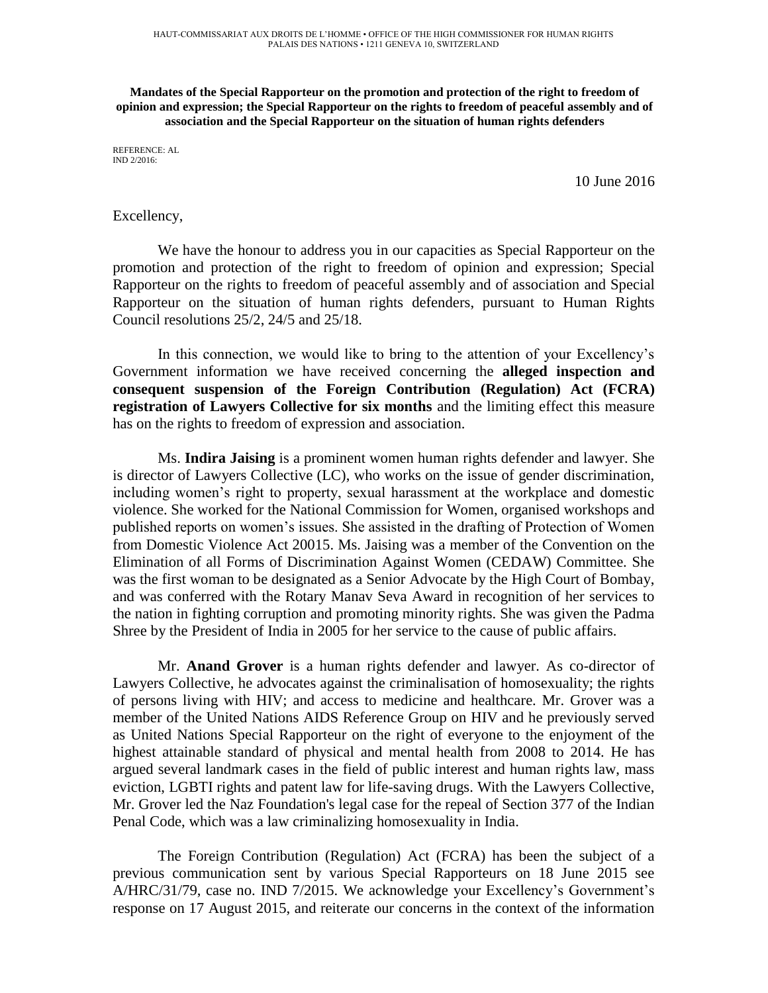**Mandates of the Special Rapporteur on the promotion and protection of the right to freedom of opinion and expression; the Special Rapporteur on the rights to freedom of peaceful assembly and of association and the Special Rapporteur on the situation of human rights defenders** 

REFERENCE: AL IND 2/2016:

10 June 2016

## Excellency,

We have the honour to address you in our capacities as Special Rapporteur on the promotion and protection of the right to freedom of opinion and expression; Special Rapporteur on the rights to freedom of peaceful assembly and of association and Special Rapporteur on the situation of human rights defenders, pursuant to Human Rights Council resolutions 25/2, 24/5 and 25/18.

In this connection, we would like to bring to the attention of your Excellency's Government information we have received concerning the **alleged inspection and consequent suspension of the Foreign Contribution (Regulation) Act (FCRA) registration of Lawyers Collective for six months** and the limiting effect this measure has on the rights to freedom of expression and association.

Ms. **Indira Jaising** is a prominent women human rights defender and lawyer. She is director of Lawyers Collective (LC), who works on the issue of gender discrimination, including women's right to property, sexual harassment at the workplace and domestic violence. She worked for the National Commission for Women, organised workshops and published reports on women's issues. She assisted in the drafting of Protection of Women from Domestic Violence Act 20015. Ms. Jaising was a member of the Convention on the Elimination of all Forms of Discrimination Against Women (CEDAW) Committee. She was the first woman to be designated as a Senior Advocate by the High Court of Bombay, and was conferred with the Rotary Manav Seva Award in recognition of her services to the nation in fighting corruption and promoting minority rights. She was given the Padma Shree by the President of India in 2005 for her service to the cause of public affairs.

Mr. **Anand Grover** is a human rights defender and lawyer. As co-director of Lawyers Collective, he advocates against the criminalisation of homosexuality; the rights of persons living with HIV; and access to medicine and healthcare. Mr. Grover was a member of the United Nations AIDS Reference Group on HIV and he previously served as United Nations Special Rapporteur on the right of everyone to the enjoyment of the highest attainable standard of physical and mental health from 2008 to 2014. He has argued several landmark cases in the field of public interest and human rights law, mass eviction, LGBTI rights and patent law for life-saving drugs. With the Lawyers Collective, Mr. Grover led the Naz Foundation's legal case for the repeal of Section 377 of the Indian Penal Code, which was a law criminalizing homosexuality in India.

The Foreign Contribution (Regulation) Act (FCRA) has been the subject of a previous communication sent by various Special Rapporteurs on 18 June 2015 see A/HRC/31/79, case no. IND 7/2015. We acknowledge your Excellency's Government's response on 17 August 2015, and reiterate our concerns in the context of the information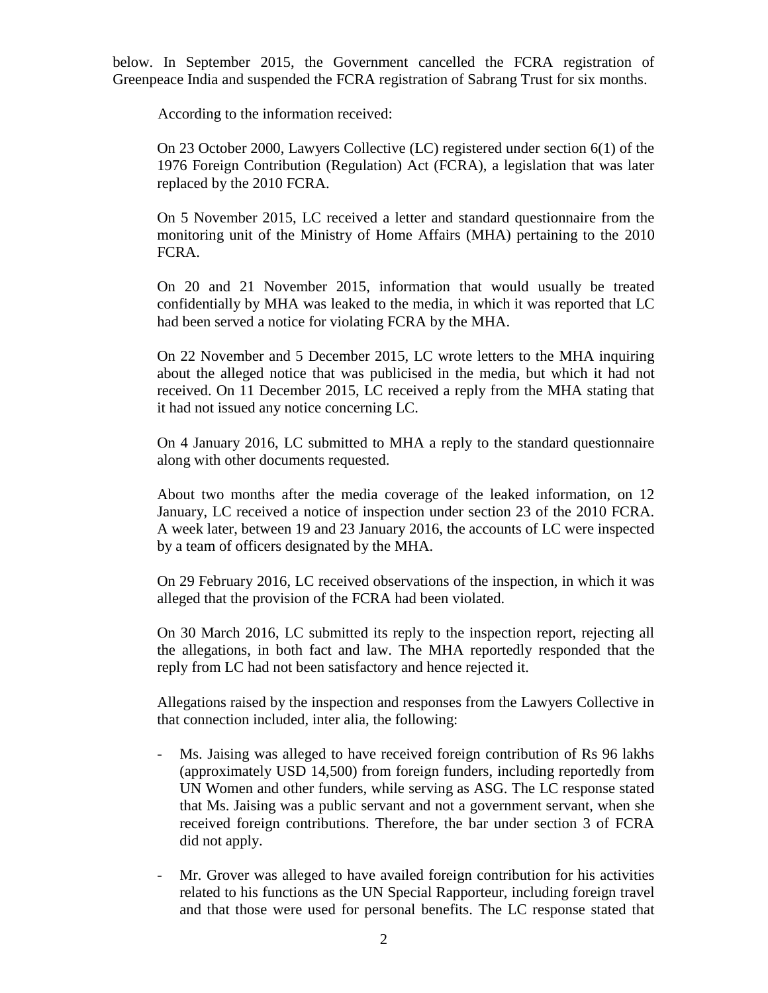below. In September 2015, the Government cancelled the FCRA registration of Greenpeace India and suspended the FCRA registration of Sabrang Trust for six months.

According to the information received:

On 23 October 2000, Lawyers Collective (LC) registered under section 6(1) of the 1976 Foreign Contribution (Regulation) Act (FCRA), a legislation that was later replaced by the 2010 FCRA.

On 5 November 2015, LC received a letter and standard questionnaire from the monitoring unit of the Ministry of Home Affairs (MHA) pertaining to the 2010 FCRA.

On 20 and 21 November 2015, information that would usually be treated confidentially by MHA was leaked to the media, in which it was reported that LC had been served a notice for violating FCRA by the MHA.

On 22 November and 5 December 2015, LC wrote letters to the MHA inquiring about the alleged notice that was publicised in the media, but which it had not received. On 11 December 2015, LC received a reply from the MHA stating that it had not issued any notice concerning LC.

On 4 January 2016, LC submitted to MHA a reply to the standard questionnaire along with other documents requested.

About two months after the media coverage of the leaked information, on 12 January, LC received a notice of inspection under section 23 of the 2010 FCRA. A week later, between 19 and 23 January 2016, the accounts of LC were inspected by a team of officers designated by the MHA.

On 29 February 2016, LC received observations of the inspection, in which it was alleged that the provision of the FCRA had been violated.

On 30 March 2016, LC submitted its reply to the inspection report, rejecting all the allegations, in both fact and law. The MHA reportedly responded that the reply from LC had not been satisfactory and hence rejected it.

Allegations raised by the inspection and responses from the Lawyers Collective in that connection included, inter alia, the following:

- Ms. Jaising was alleged to have received foreign contribution of Rs 96 lakhs (approximately USD 14,500) from foreign funders, including reportedly from UN Women and other funders, while serving as ASG. The LC response stated that Ms. Jaising was a public servant and not a government servant, when she received foreign contributions. Therefore, the bar under section 3 of FCRA did not apply.
- Mr. Grover was alleged to have availed foreign contribution for his activities related to his functions as the UN Special Rapporteur, including foreign travel and that those were used for personal benefits. The LC response stated that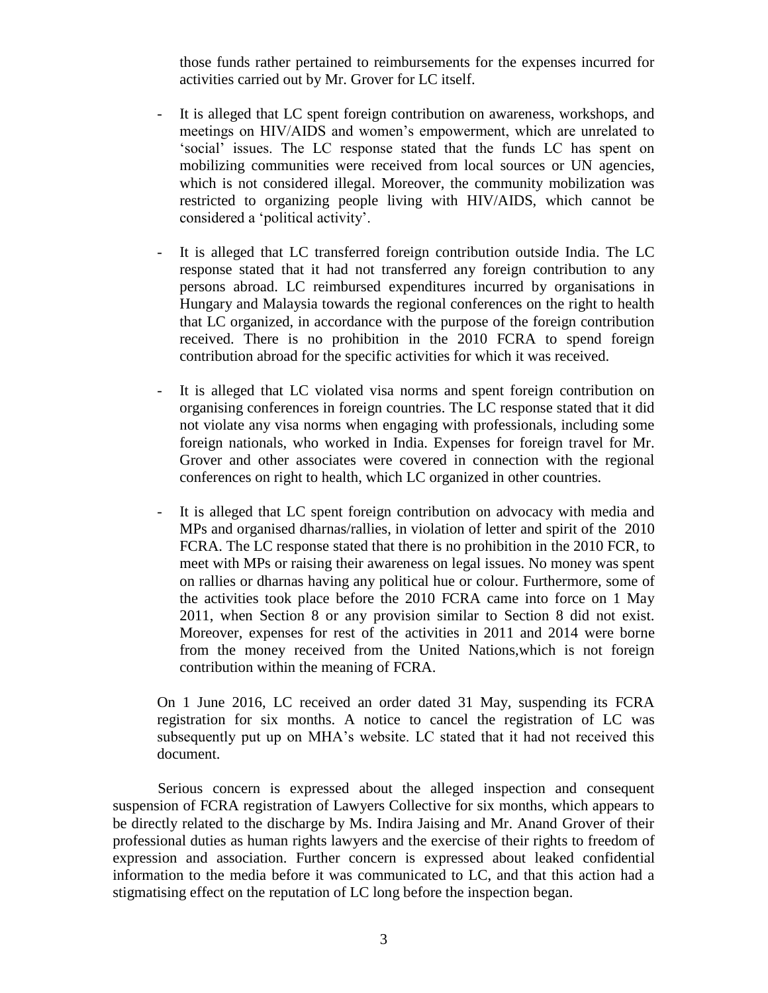those funds rather pertained to reimbursements for the expenses incurred for activities carried out by Mr. Grover for LC itself.

- It is alleged that LC spent foreign contribution on awareness, workshops, and meetings on HIV/AIDS and women's empowerment, which are unrelated to 'social' issues. The LC response stated that the funds LC has spent on mobilizing communities were received from local sources or UN agencies, which is not considered illegal. Moreover, the community mobilization was restricted to organizing people living with HIV/AIDS, which cannot be considered a 'political activity'.
- It is alleged that LC transferred foreign contribution outside India. The LC response stated that it had not transferred any foreign contribution to any persons abroad. LC reimbursed expenditures incurred by organisations in Hungary and Malaysia towards the regional conferences on the right to health that LC organized, in accordance with the purpose of the foreign contribution received. There is no prohibition in the 2010 FCRA to spend foreign contribution abroad for the specific activities for which it was received.
- It is alleged that LC violated visa norms and spent foreign contribution on organising conferences in foreign countries. The LC response stated that it did not violate any visa norms when engaging with professionals, including some foreign nationals, who worked in India. Expenses for foreign travel for Mr. Grover and other associates were covered in connection with the regional conferences on right to health, which LC organized in other countries.
- It is alleged that LC spent foreign contribution on advocacy with media and MPs and organised dharnas/rallies, in violation of letter and spirit of the 2010 FCRA. The LC response stated that there is no prohibition in the 2010 FCR, to meet with MPs or raising their awareness on legal issues. No money was spent on rallies or dharnas having any political hue or colour. Furthermore, some of the activities took place before the 2010 FCRA came into force on 1 May 2011, when Section 8 or any provision similar to Section 8 did not exist. Moreover, expenses for rest of the activities in 2011 and 2014 were borne from the money received from the United Nations,which is not foreign contribution within the meaning of FCRA.

On 1 June 2016, LC received an order dated 31 May, suspending its FCRA registration for six months. A notice to cancel the registration of LC was subsequently put up on MHA's website. LC stated that it had not received this document.

Serious concern is expressed about the alleged inspection and consequent suspension of FCRA registration of Lawyers Collective for six months, which appears to be directly related to the discharge by Ms. Indira Jaising and Mr. Anand Grover of their professional duties as human rights lawyers and the exercise of their rights to freedom of expression and association. Further concern is expressed about leaked confidential information to the media before it was communicated to LC, and that this action had a stigmatising effect on the reputation of LC long before the inspection began.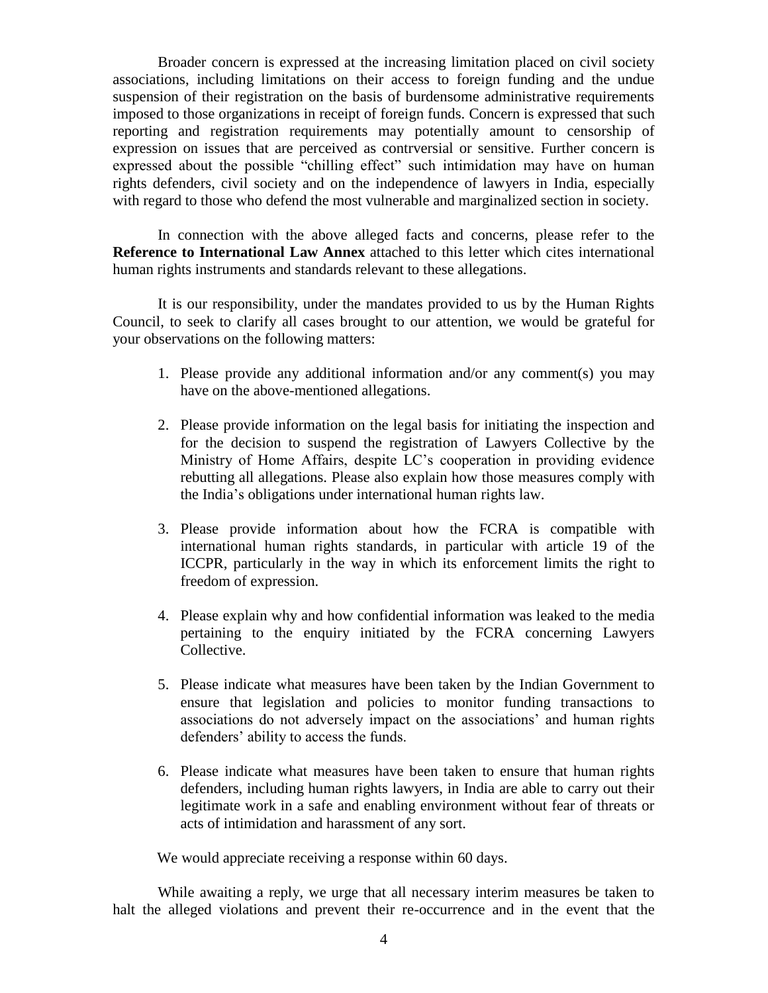Broader concern is expressed at the increasing limitation placed on civil society associations, including limitations on their access to foreign funding and the undue suspension of their registration on the basis of burdensome administrative requirements imposed to those organizations in receipt of foreign funds. Concern is expressed that such reporting and registration requirements may potentially amount to censorship of expression on issues that are perceived as contrversial or sensitive. Further concern is expressed about the possible "chilling effect" such intimidation may have on human rights defenders, civil society and on the independence of lawyers in India, especially with regard to those who defend the most vulnerable and marginalized section in society.

In connection with the above alleged facts and concerns, please refer to the **Reference to International Law Annex** attached to this letter which cites international human rights instruments and standards relevant to these allegations.

It is our responsibility, under the mandates provided to us by the Human Rights Council, to seek to clarify all cases brought to our attention, we would be grateful for your observations on the following matters:

- 1. Please provide any additional information and/or any comment(s) you may have on the above-mentioned allegations.
- 2. Please provide information on the legal basis for initiating the inspection and for the decision to suspend the registration of Lawyers Collective by the Ministry of Home Affairs, despite LC's cooperation in providing evidence rebutting all allegations. Please also explain how those measures comply with the India's obligations under international human rights law.
- 3. Please provide information about how the FCRA is compatible with international human rights standards, in particular with article 19 of the ICCPR, particularly in the way in which its enforcement limits the right to freedom of expression.
- 4. Please explain why and how confidential information was leaked to the media pertaining to the enquiry initiated by the FCRA concerning Lawyers Collective.
- 5. Please indicate what measures have been taken by the Indian Government to ensure that legislation and policies to monitor funding transactions to associations do not adversely impact on the associations' and human rights defenders' ability to access the funds.
- 6. Please indicate what measures have been taken to ensure that human rights defenders, including human rights lawyers, in India are able to carry out their legitimate work in a safe and enabling environment without fear of threats or acts of intimidation and harassment of any sort.

We would appreciate receiving a response within 60 days.

While awaiting a reply, we urge that all necessary interim measures be taken to halt the alleged violations and prevent their re-occurrence and in the event that the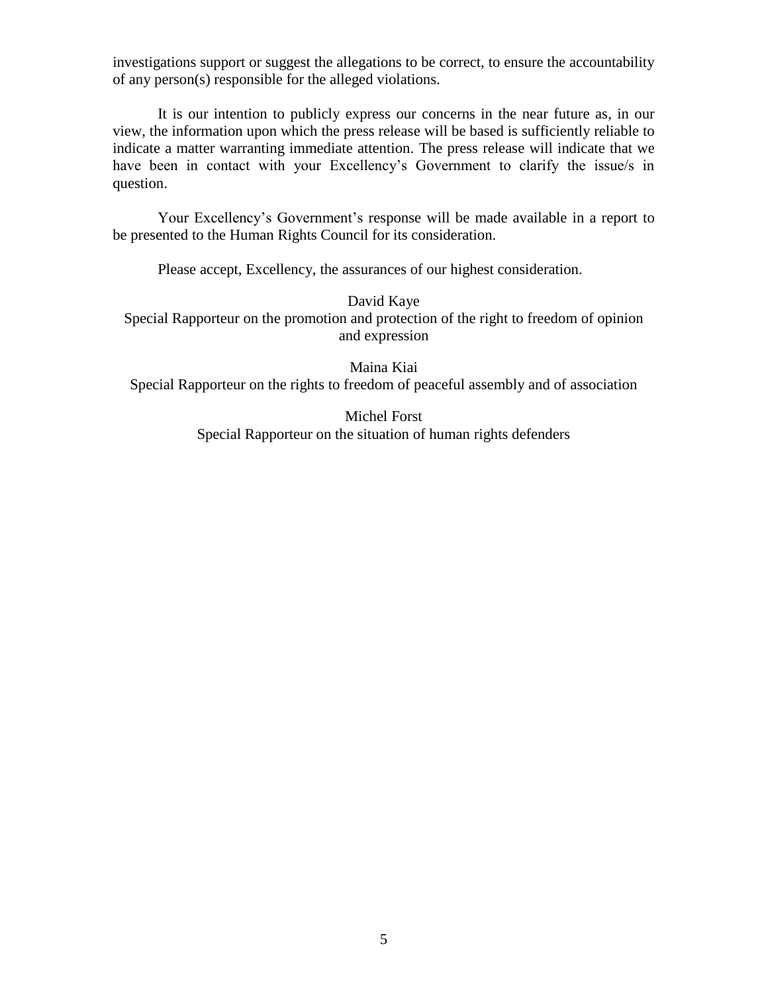investigations support or suggest the allegations to be correct, to ensure the accountability of any person(s) responsible for the alleged violations.

It is our intention to publicly express our concerns in the near future as, in our view, the information upon which the press release will be based is sufficiently reliable to indicate a matter warranting immediate attention. The press release will indicate that we have been in contact with your Excellency's Government to clarify the issue/s in question.

Your Excellency's Government's response will be made available in a report to be presented to the Human Rights Council for its consideration.

Please accept, Excellency, the assurances of our highest consideration.

David Kaye

Special Rapporteur on the promotion and protection of the right to freedom of opinion and expression

Maina Kiai Special Rapporteur on the rights to freedom of peaceful assembly and of association

> Michel Forst Special Rapporteur on the situation of human rights defenders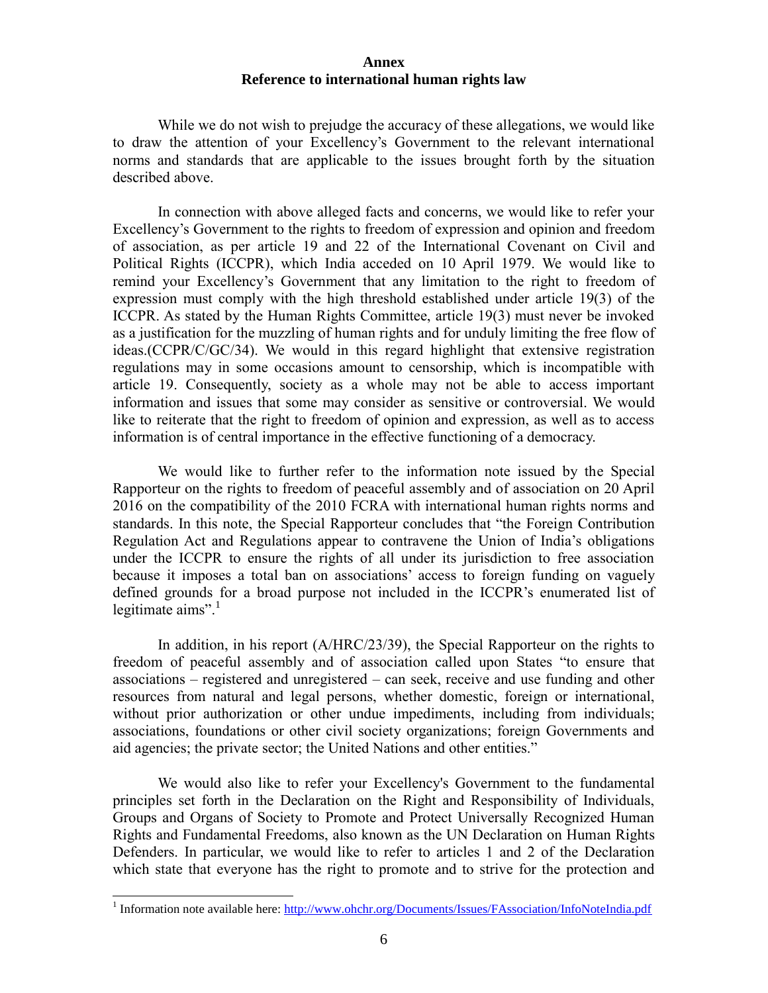## **Annex Reference to international human rights law**

While we do not wish to prejudge the accuracy of these allegations, we would like to draw the attention of your Excellency's Government to the relevant international norms and standards that are applicable to the issues brought forth by the situation described above.

In connection with above alleged facts and concerns, we would like to refer your Excellency's Government to the rights to freedom of expression and opinion and freedom of association, as per article 19 and 22 of the International Covenant on Civil and Political Rights (ICCPR), which India acceded on 10 April 1979. We would like to remind your Excellency's Government that any limitation to the right to freedom of expression must comply with the high threshold established under article 19(3) of the ICCPR. As stated by the Human Rights Committee, article 19(3) must never be invoked as a justification for the muzzling of human rights and for unduly limiting the free flow of ideas.(CCPR/C/GC/34). We would in this regard highlight that extensive registration regulations may in some occasions amount to censorship, which is incompatible with article 19. Consequently, society as a whole may not be able to access important information and issues that some may consider as sensitive or controversial. We would like to reiterate that the right to freedom of opinion and expression, as well as to access information is of central importance in the effective functioning of a democracy.

We would like to further refer to the information note issued by the Special Rapporteur on the rights to freedom of peaceful assembly and of association on 20 April 2016 on the compatibility of the 2010 FCRA with international human rights norms and standards. In this note, the Special Rapporteur concludes that "the Foreign Contribution Regulation Act and Regulations appear to contravene the Union of India's obligations under the ICCPR to ensure the rights of all under its jurisdiction to free association because it imposes a total ban on associations' access to foreign funding on vaguely defined grounds for a broad purpose not included in the ICCPR's enumerated list of legitimate  $aims$ <sup>".1</sup>

In addition, in his report (A/HRC/23/39), the Special Rapporteur on the rights to freedom of peaceful assembly and of association called upon States "to ensure that associations – registered and unregistered – can seek, receive and use funding and other resources from natural and legal persons, whether domestic, foreign or international, without prior authorization or other undue impediments, including from individuals; associations, foundations or other civil society organizations; foreign Governments and aid agencies; the private sector; the United Nations and other entities."

We would also like to refer your Excellency's Government to the fundamental principles set forth in the Declaration on the Right and Responsibility of Individuals, Groups and Organs of Society to Promote and Protect Universally Recognized Human Rights and Fundamental Freedoms, also known as the UN Declaration on Human Rights Defenders. In particular, we would like to refer to articles 1 and 2 of the Declaration which state that everyone has the right to promote and to strive for the protection and

l

<sup>&</sup>lt;sup>1</sup> Information note available here[: http://www.ohchr.org/Documents/Issues/FAssociation/InfoNoteIndia.pdf](http://www.ohchr.org/Documents/Issues/FAssociation/InfoNoteIndia.pdf)